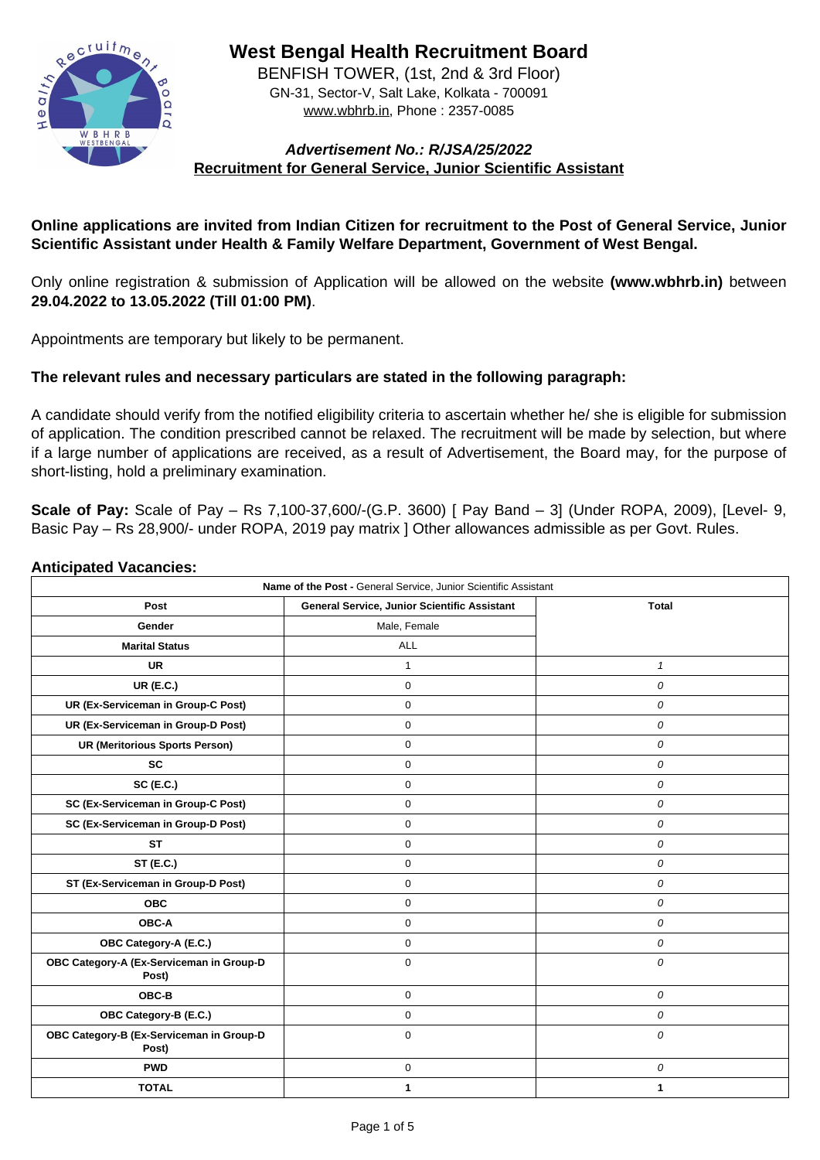

**West Bengal Health Recruitment Board**

BENFISH TOWER, (1st, 2nd & 3rd Floor) GN-31, Sector-V, Salt Lake, Kolkata - 700091 www.wbhrb.in, Phone : 2357-0085

# **Advertisement No.: R/JSA/25/2022 Recruitment for General Service, Junior Scientific Assistant**

# **Online applications are invited from Indian Citizen for recruitment to the Post of General Service, Junior Scientific Assistant under Health & Family Welfare Department, Government of West Bengal.**

Only online registration & submission of Application will be allowed on the website **(www.wbhrb.in)** between **29.04.2022 to 13.05.2022 (Till 01:00 PM)**.

**Scale of Pay:** Scale of Pay – Rs 7,100-37,600/-(G.P. 3600) [ Pay Band – 3] (Under ROPA, 2009), [Level- 9, Basic Pay – Rs 28,900/- under ROPA, 2019 pay matrix ] Other allowances admissible as per Govt. Rules.

Appointments are temporary but likely to be permanent.

# **The relevant rules and necessary particulars are stated in the following paragraph:**

A candidate should verify from the notified eligibility criteria to ascertain whether he/ she is eligible for submission of application. The condition prescribed cannot be relaxed. The recruitment will be made by selection, but where if a large number of applications are received, as a result of Advertisement, the Board may, for the purpose of short-listing, hold a preliminary examination.

#### **Anticipated Vacancies:**

| Name of the Post - General Service, Junior Scientific Assistant |                |                  |  |  |
|-----------------------------------------------------------------|----------------|------------------|--|--|
| <b>Post</b>                                                     | <b>Total</b>   |                  |  |  |
| <b>Gender</b>                                                   | Male, Female   |                  |  |  |
| <b>Marital Status</b>                                           | <b>ALL</b>     |                  |  |  |
| <b>UR</b>                                                       |                |                  |  |  |
| <b>UR (E.C.)</b>                                                | $\overline{0}$ | $\overline{O}$   |  |  |
| <b>UR (Ex-Serviceman in Group-C Post)</b>                       | $\overline{0}$ | $\bm{O}$         |  |  |
| <b>UR (Ex-Serviceman in Group-D Post)</b>                       | $\overline{0}$ | $\overline{O}$   |  |  |
| <b>UR (Meritorious Sports Person)</b>                           | $\overline{0}$ | 0                |  |  |
| <b>SC</b>                                                       | $\overline{0}$ | 0                |  |  |
| <b>SC (E.C.)</b>                                                | $\overline{0}$ | $\overline{O}$   |  |  |
| <b>SC (Ex-Serviceman in Group-C Post)</b>                       | 0              | 0                |  |  |
| <b>SC (Ex-Serviceman in Group-D Post)</b>                       | $\overline{0}$ | $\overline{O}$   |  |  |
| <b>ST</b>                                                       | $\Omega$       | 0                |  |  |
| <b>ST (E.C.)</b>                                                | 0              | 0                |  |  |
| <b>ST (Ex-Serviceman in Group-D Post)</b>                       | $\overline{0}$ | $\bm{O}$         |  |  |
| <b>OBC</b>                                                      | $\overline{0}$ | $\boldsymbol{O}$ |  |  |
| <b>OBC-A</b>                                                    | $\overline{0}$ | $\boldsymbol{O}$ |  |  |
| <b>OBC Category-A (E.C.)</b>                                    | $\overline{0}$ | $\bm{O}$         |  |  |
| OBC Category-A (Ex-Serviceman in Group-D<br>Post)               | $\overline{0}$ | $\overline{O}$   |  |  |
| <b>OBC-B</b>                                                    | $\overline{0}$ | $\boldsymbol{0}$ |  |  |
| <b>OBC Category-B (E.C.)</b>                                    | $\overline{0}$ | $\overline{O}$   |  |  |
| OBC Category-B (Ex-Serviceman in Group-D<br>Post)               | $\overline{0}$ | $\overline{O}$   |  |  |
| <b>PWD</b>                                                      | $\overline{0}$ | $\overline{O}$   |  |  |
| <b>TOTAL</b>                                                    |                |                  |  |  |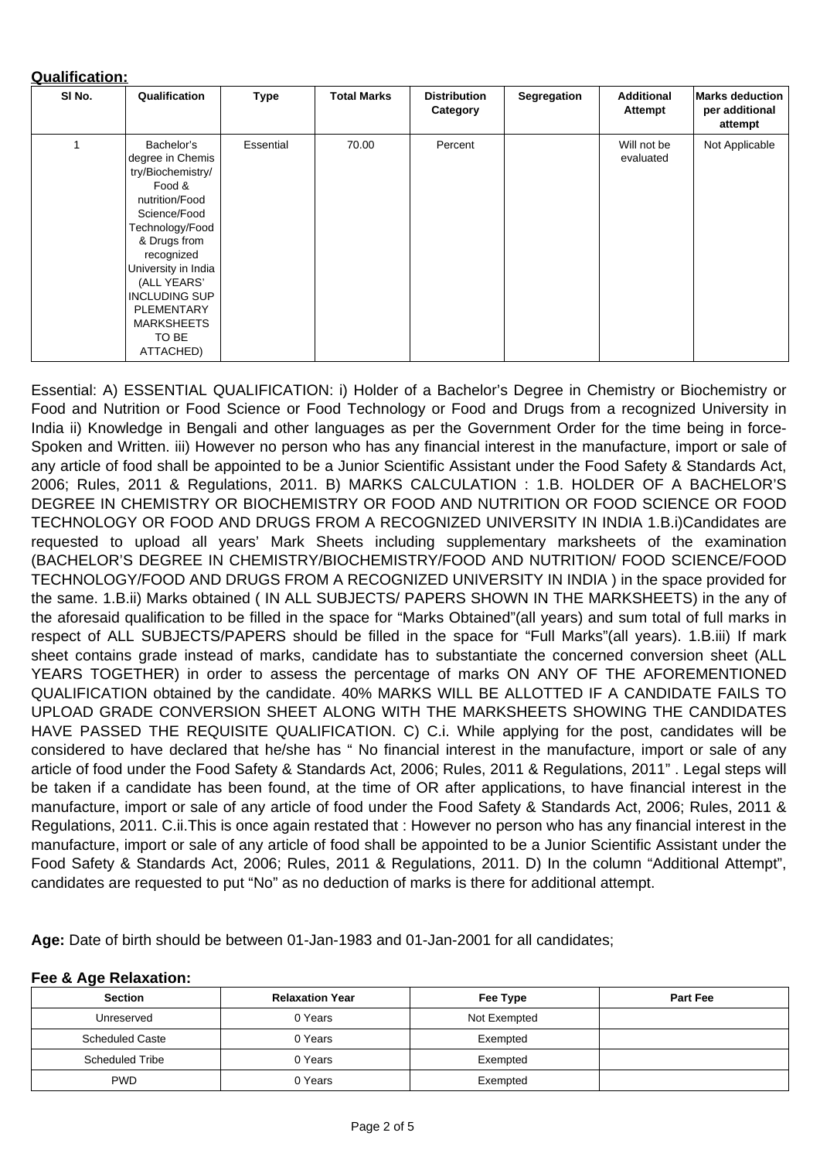### **Qualification:**

| SI No.                  | Qualification                                                                                                                                                                                                                                                                  | <b>Type</b>      | <b>Total Marks</b> | <b>Distribution</b><br>Category | <b>Segregation</b> | <b>Additional</b><br><b>Attempt</b> | <b>Marks deduction</b><br>per additional<br>attempt |
|-------------------------|--------------------------------------------------------------------------------------------------------------------------------------------------------------------------------------------------------------------------------------------------------------------------------|------------------|--------------------|---------------------------------|--------------------|-------------------------------------|-----------------------------------------------------|
| $\overline{\mathbf{1}}$ | Bachelor's<br>degree in Chemis<br>try/Biochemistry/<br>Food &<br>nutrition/Food<br>Science/Food<br>Technology/Food<br>& Drugs from<br>recognized<br>University in India<br>(ALL YEARS'<br><b>INCLUDING SUP</b><br><b>PLEMENTARY</b><br><b>MARKSHEETS</b><br>TO BE<br>ATTACHED) | <b>Essential</b> | 70.00              | Percent                         |                    | Will not be<br>evaluated            | Not Applicable                                      |

Essential: A) ESSENTIAL QUALIFICATION: i) Holder of a Bachelor's Degree in Chemistry or Biochemistry or Food and Nutrition or Food Science or Food Technology or Food and Drugs from a recognized University in India ii) Knowledge in Bengali and other languages as per the Government Order for the time being in force-Spoken and Written. iii) However no person who has any financial interest in the manufacture, import or sale of any article of food shall be appointed to be a Junior Scientific Assistant under the Food Safety & Standards Act, 2006; Rules, 2011 & Regulations, 2011. B) MARKS CALCULATION : 1.B. HOLDER OF A BACHELOR'S DEGREE IN CHEMISTRY OR BIOCHEMISTRY OR FOOD AND NUTRITION OR FOOD SCIENCE OR FOOD TECHNOLOGY OR FOOD AND DRUGS FROM A RECOGNIZED UNIVERSITY IN INDIA 1.B.i)Candidates are requested to upload all years' Mark Sheets including supplementary marksheets of the examination (BACHELOR'S DEGREE IN CHEMISTRY/BIOCHEMISTRY/FOOD AND NUTRITION/ FOOD SCIENCE/FOOD TECHNOLOGY/FOOD AND DRUGS FROM A RECOGNIZED UNIVERSITY IN INDIA ) in the space provided for the same. 1.B.ii) Marks obtained ( IN ALL SUBJECTS/ PAPERS SHOWN IN THE MARKSHEETS) in the any of the aforesaid qualification to be filled in the space for "Marks Obtained"(all years) and sum total of full marks in respect of ALL SUBJECTS/PAPERS should be filled in the space for "Full Marks"(all years). 1.B.iii) If mark sheet contains grade instead of marks, candidate has to substantiate the concerned conversion sheet (ALL YEARS TOGETHER) in order to assess the percentage of marks ON ANY OF THE AFOREMENTIONED QUALIFICATION obtained by the candidate. 40% MARKS WILL BE ALLOTTED IF A CANDIDATE FAILS TO UPLOAD GRADE CONVERSION SHEET ALONG WITH THE MARKSHEETS SHOWING THE CANDIDATES HAVE PASSED THE REQUISITE QUALIFICATION. C) C.i. While applying for the post, candidates will be considered to have declared that he/she has " No financial interest in the manufacture, import or sale of any article of food under the Food Safety & Standards Act, 2006; Rules, 2011 & Regulations, 2011" . Legal steps will be taken if a candidate has been found, at the time of OR after applications, to have financial interest in the manufacture, import or sale of any article of food under the Food Safety & Standards Act, 2006; Rules, 2011 & Regulations, 2011. C.ii.This is once again restated that : However no person who has any financial interest in the manufacture, import or sale of any article of food shall be appointed to be a Junior Scientific Assistant under the Food Safety & Standards Act, 2006; Rules, 2011 & Regulations, 2011. D) In the column "Additional Attempt", candidates are requested to put "No" as no deduction of marks is there for additional attempt.

**Age:** Date of birth should be between 01-Jan-1983 and 01-Jan-2001 for all candidates;

#### **Fee & Age Relaxation:**

| <b>Section</b>         | <b>Relaxation Year</b> | Fee Type     | <b>Part Fee</b> |
|------------------------|------------------------|--------------|-----------------|
| Unreserved             | 0 Years                | Not Exempted |                 |
| <b>Scheduled Caste</b> | 0 Years                | Exempted     |                 |
| <b>Scheduled Tribe</b> | 0 Years                | Exempted     |                 |
| <b>PWD</b>             | 0 Years                | Exempted     |                 |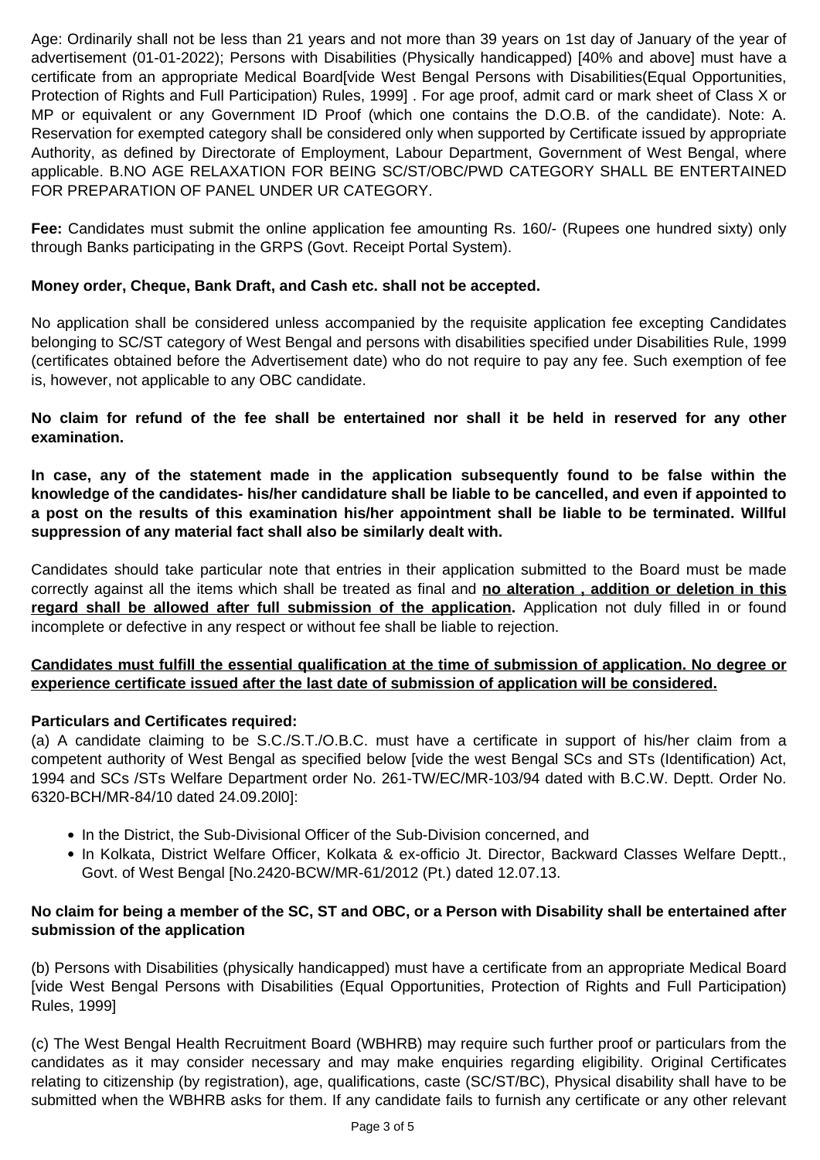Age: Ordinarily shall not be less than 21 years and not more than 39 years on 1st day of January of the year of advertisement (01-01-2022); Persons with Disabilities (Physically handicapped) [40% and above] must have a certificate from an appropriate Medical Board[vide West Bengal Persons with Disabilities(Equal Opportunities, Protection of Rights and Full Participation) Rules, 1999] . For age proof, admit card or mark sheet of Class X or MP or equivalent or any Government ID Proof (which one contains the D.O.B. of the candidate). Note: A. Reservation for exempted category shall be considered only when supported by Certificate issued by appropriate Authority, as defined by Directorate of Employment, Labour Department, Government of West Bengal, where applicable. B.NO AGE RELAXATION FOR BEING SC/ST/OBC/PWD CATEGORY SHALL BE ENTERTAINED FOR PREPARATION OF PANEL UNDER UR CATEGORY.

**Fee:** Candidates must submit the online application fee amounting Rs. 160/- (Rupees one hundred sixty) only through Banks participating in the GRPS (Govt. Receipt Portal System).

Candidates should take particular note that entries in their application submitted to the Board must be made correctly against all the items which shall be treated as final and **no alteration , addition or deletion in this** regard shall be allowed after full submission of the application. Application not duly filled in or found

## **Money order, Cheque, Bank Draft, and Cash etc. shall not be accepted.**

No application shall be considered unless accompanied by the requisite application fee excepting Candidates belonging to SC/ST category of West Bengal and persons with disabilities specified under Disabilities Rule, 1999 (certificates obtained before the Advertisement date) who do not require to pay any fee. Such exemption of fee is, however, not applicable to any OBC candidate.

**No claim for refund of the fee shall be entertained nor shall it be held in reserved for any other examination.**

- In the District, the Sub-Divisional Officer of the Sub-Division concerned, and
- In Kolkata, District Welfare Officer, Kolkata & ex-officio Jt. Director, Backward Classes Welfare Deptt., Govt. of West Bengal [No.2420-BCW/MR-61/2012 (Pt.) dated 12.07.13.

**In case, any of the statement made in the application subsequently found to be false within the knowledge of the candidates- his/her candidature shall be liable to be cancelled, and even if appointed to a post on the results of this examination his/her appointment shall be liable to be terminated. Willful suppression of any material fact shall also be similarly dealt with.**

### **Candidates must fulfill the essential qualification at the time of submission of application. No degree or experience certificate issued after the last date of submission of application will be considered.**

### **Particulars and Certificates required:**

(a) A candidate claiming to be S.C./S.T./O.B.C. must have a certificate in support of his/her claim from a competent authority of West Bengal as specified below [vide the west Bengal SCs and STs (Identification) Act, 1994 and SCs /STs Welfare Department order No. 261-TW/EC/MR-103/94 dated with B.C.W. Deptt. Order No. 6320-BCH/MR-84/10 dated 24.09.20l0]:

# **No claim for being a member of the SC, ST and OBC, or a Person with Disability shall be entertained after submission of the application**

(b) Persons with Disabilities (physically handicapped) must have a certificate from an appropriate Medical Board [vide West Bengal Persons with Disabilities (Equal Opportunities, Protection of Rights and Full Participation) Rules, 1999]

(c) The West Bengal Health Recruitment Board (WBHRB) may require such further proof or particulars from the candidates as it may consider necessary and may make enquiries regarding eligibility. Original Certificates relating to citizenship (by registration), age, qualifications, caste (SC/ST/BC), Physical disability shall have to be submitted when the WBHRB asks for them. If any candidate fails to furnish any certificate or any other relevant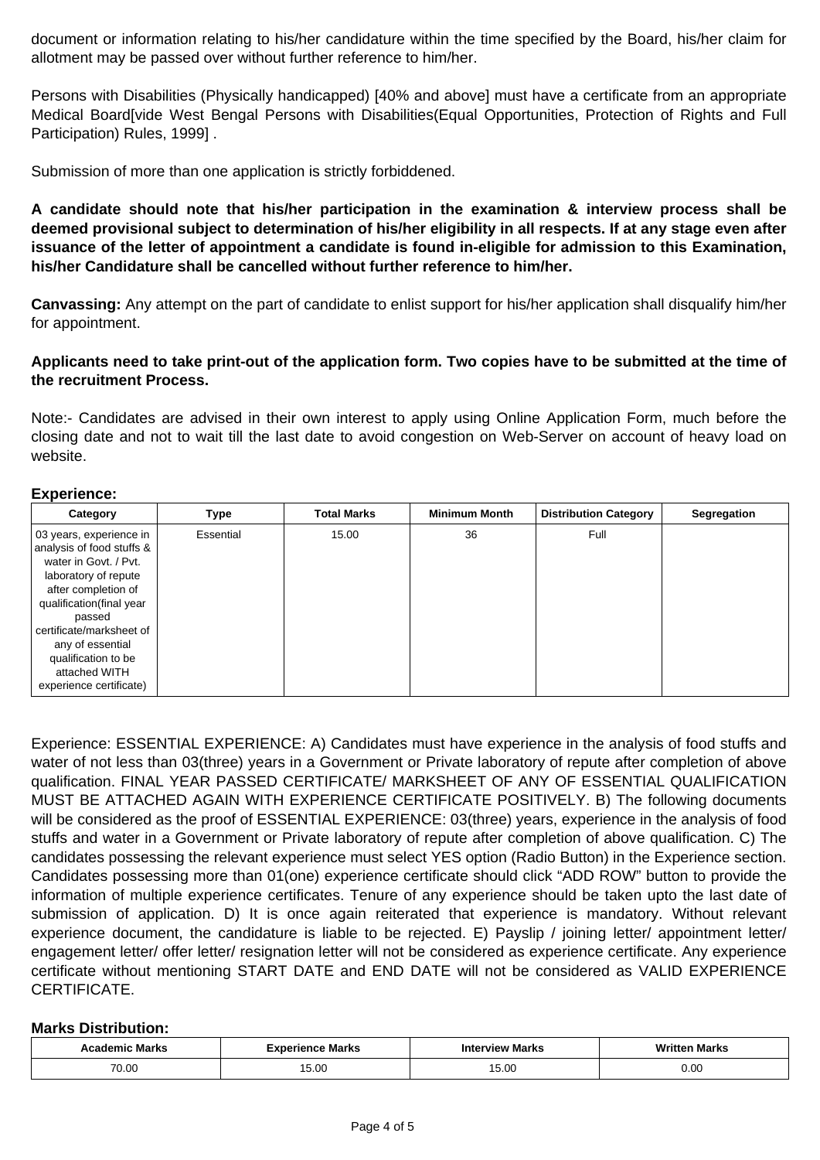document or information relating to his/her candidature within the time specified by the Board, his/her claim for allotment may be passed over without further reference to him/her.

Persons with Disabilities (Physically handicapped) [40% and above] must have a certificate from an appropriate Medical Board[vide West Bengal Persons with Disabilities(Equal Opportunities, Protection of Rights and Full Participation) Rules, 1999] .

Submission of more than one application is strictly forbiddened.

**A candidate should note that his/her participation in the examination & interview process shall be deemed provisional subject to determination of his/her eligibility in all respects. If at any stage even after issuance of the letter of appointment a candidate is found in-eligible for admission to this Examination, his/her Candidature shall be cancelled without further reference to him/her.**

**Canvassing:** Any attempt on the part of candidate to enlist support for his/her application shall disqualify him/her for appointment.

## **Applicants need to take print-out of the application form. Two copies have to be submitted at the time of the recruitment Process.**

Note:- Candidates are advised in their own interest to apply using Online Application Form, much before the closing date and not to wait till the last date to avoid congestion on Web-Server on account of heavy load on website.

#### **Experience:**

| <b>Category</b>                                                                                                                                                                                                                                                                       | <b>Type</b>      | <b>Total Marks</b> | <b>Minimum Month</b> | <b>Distribution Category</b> | <b>Segregation</b> |
|---------------------------------------------------------------------------------------------------------------------------------------------------------------------------------------------------------------------------------------------------------------------------------------|------------------|--------------------|----------------------|------------------------------|--------------------|
| 03 years, experience in<br>analysis of food stuffs &<br>water in Govt. / Pvt.<br>laboratory of repute<br>after completion of<br>qualification(final year<br>passed<br>certificate/marksheet of<br>any of essential<br>qualification to be<br>attached WITH<br>experience certificate) | <b>Essential</b> | 15.00              | 36                   | Full                         |                    |

Experience: ESSENTIAL EXPERIENCE: A) Candidates must have experience in the analysis of food stuffs and water of not less than 03(three) years in a Government or Private laboratory of repute after completion of above qualification. FINAL YEAR PASSED CERTIFICATE/ MARKSHEET OF ANY OF ESSENTIAL QUALIFICATION MUST BE ATTACHED AGAIN WITH EXPERIENCE CERTIFICATE POSITIVELY. B) The following documents will be considered as the proof of ESSENTIAL EXPERIENCE: 03(three) years, experience in the analysis of food stuffs and water in a Government or Private laboratory of repute after completion of above qualification. C) The candidates possessing the relevant experience must select YES option (Radio Button) in the Experience section. Candidates possessing more than 01(one) experience certificate should click "ADD ROW" button to provide the information of multiple experience certificates. Tenure of any experience should be taken upto the last date of submission of application. D) It is once again reiterated that experience is mandatory. Without relevant experience document, the candidature is liable to be rejected. E) Payslip / joining letter/ appointment letter/ engagement letter/ offer letter/ resignation letter will not be considered as experience certificate. Any experience certificate without mentioning START DATE and END DATE will not be considered as VALID EXPERIENCE CERTIFICATE.

#### **Marks Distribution:**

| Marks<br>emic | <b>Experience Marks</b> | <b>Interview Marks</b> | <b>Marks</b> |  |
|---------------|-------------------------|------------------------|--------------|--|
|               |                         | $\Omega$               |              |  |
| 70.00         | $\cap$                  | v.vv                   | 0.00         |  |
|               | UU.CI                   |                        |              |  |